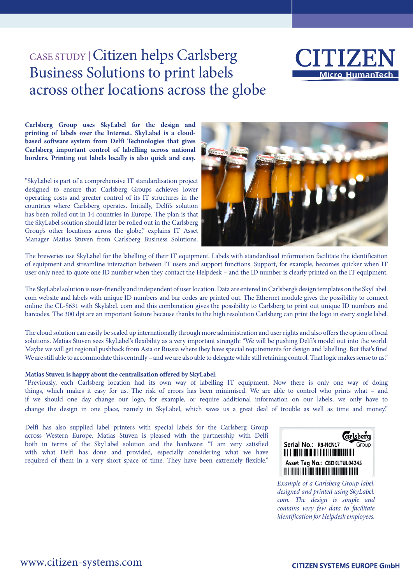## CASE STUDY |Citizen helps Carlsberg Business Solutions to print labels across other locations across the globe



**Carlsberg Group uses SkyLabel for the design and printing of labels over the Internet. SkyLabel is a cloudbased software system from Delfi Technologies that gives Carlsberg important control of labelling across national borders. Printing out labels locally is also quick and easy.** 

"SkyLabel is part of a comprehensive IT standardisation project designed to ensure that Carlsberg Groups achieves lower operating costs and greater control of its IT structures in the countries where Carlsberg operates. Initially, Delfi's solution has been rolled out in 14 countries in Europe. The plan is that the SkyLabel solution should later be rolled out in the Carlsberg Group's other locations across the globe," explains IT Asset Manager Matias Stuven from Carlsberg Business Solutions.



The breweries use SkyLabel for the labelling of their IT equipment. Labels with standardised information facilitate the identification of equipment and streamline interaction between IT users and support functions. Support, for example, becomes quicker when IT user only need to quote one ID number when they contact the Helpdesk – and the ID number is clearly printed on the IT equipment.

The SkyLabel solution is user-friendly and independent of user location. Data are entered in Carlsberg's design templates on the SkyLabel. com website and labels with unique ID numbers and bar codes are printed out. The Ethernet module gives the possibility to connect online the CL-S631 with Skylabel. com and this combination gives the possibility to Carlsberg to print out unique ID numbers and barcodes. The 300 dpi are an important feature because thanks to the high resolution Carlsberg can print the logo in every single label.

The cloud solution can easily be scaled up internationally through more administration and user rights and also offers the option of local solutions. Matias Stuven sees SkyLabel's flexibility as a very important strength: "We will be pushing Delfi's model out into the world. Maybe we will get regional pushback from Asia or Russia where they have special requirements for design and labelling. But that's fine! We are still able to accommodate this centrally – and we are also able to delegate while still retaining control. That logic makes sense to us."

### **Matias Stuven is happy about the centralisation offered by SkyLabel**:

"Previously, each Carlsberg location had its own way of labelling IT equipment. Now there is only one way of doing things, which makes it easy for us. The risk of errors has been minimised. We are able to control who prints what – and if we should one day change our logo, for example, or require additional information on our labels, we only have to change the design in one place, namely in SkyLabel, which saves us a great deal of trouble as well as time and money."

Delfi has also supplied label printers with special labels for the Carlsberg Group across Western Europe. Matias Stuven is pleased with the partnership with Delfi both in terms of the SkyLabel solution and the hardware: "I am very satisfied with what Delfi has done and provided, especially considering what we have required of them in a very short space of time. They have been extremely flexible."



*Example of a Carlsberg Group label, designed and printed using SkyLabel. com. The design is simple and contains very few data to facilitate identification for Helpdesk employees.*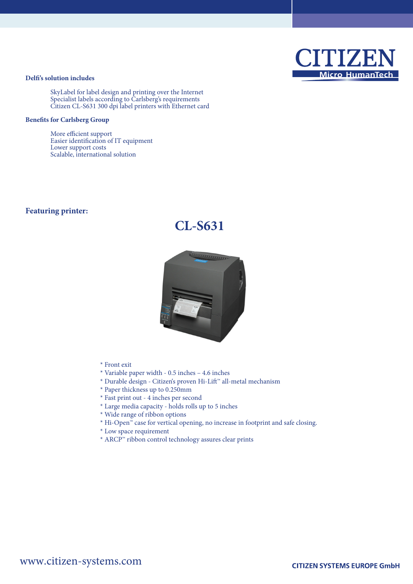# **Micro HumanTech**

## **Delfi's solution includes**

SkyLabel for label design and printing over the Internet Specialist labels according to Carlsberg's requirements Citizen CL-S631 300 dpi label printers with Ethernet card

## **Benefits for Carlsberg Group**

More efficient support Easier identification of IT equipment Lower support costs Scalable, international solution

## **Featuring printer:**

## **CL-S631**



- \* Front exit
- \* Variable paper width 0.5 inches 4.6 inches
- \* Durable design Citizen's proven Hi-Lift™ all-metal mechanism
- \* Paper thickness up to 0.250mm
- \* Fast print out 4 inches per second
- \* Large media capacity holds rolls up to 5 inches
- \* Wide range of ribbon options
- \* Hi-Open™ case for vertical opening, no increase in footprint and safe closing.
- \* Low space requirement
- \* ARCP™ ribbon control technology assures clear prints